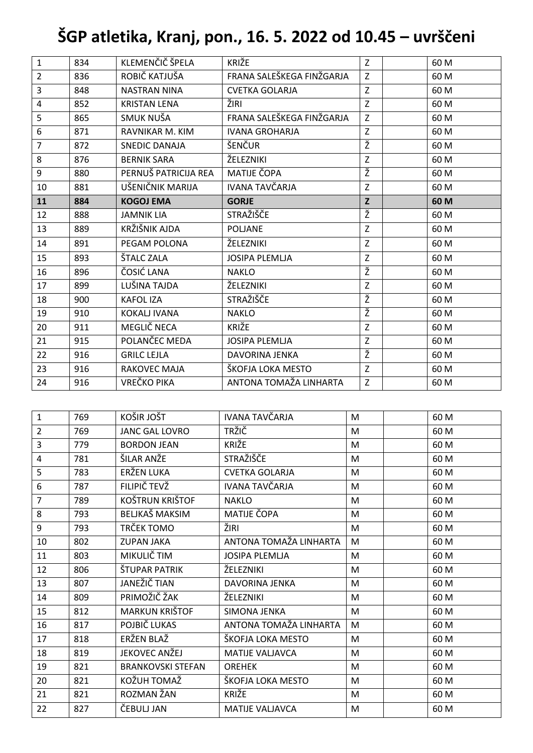## **ŠGP atletika, Kranj, pon., 16. 5. 2022 od 10.45 – uvrščeni**

| $\mathbf{1}$   | 834 | KLEMENČIČ ŠPELA      | KRIŽE                     | Z | 60 M |
|----------------|-----|----------------------|---------------------------|---|------|
| $\overline{2}$ | 836 | ROBIČ KATJUŠA        | FRANA SALEŠKEGA FINŽGARJA | Z | 60 M |
| 3              | 848 | <b>NASTRAN NINA</b>  | <b>CVETKA GOLARJA</b>     | Z | 60 M |
| $\overline{4}$ | 852 | <b>KRISTAN LENA</b>  | ŽIRI                      | Z | 60 M |
| 5              | 865 | SMUK NUŠA            | FRANA SALEŠKEGA FINŽGARJA | Z | 60 M |
| 6              | 871 | RAVNIKAR M. KIM      | <b>IVANA GROHARJA</b>     | Z | 60 M |
| $\overline{7}$ | 872 | <b>SNEDIC DANAJA</b> | ŠENČUR                    | Ž | 60 M |
| 8              | 876 | <b>BERNIK SARA</b>   | ŽELEZNIKI                 | Z | 60 M |
| 9              | 880 | PERNUŠ PATRICIJA REA | <b>MATIJE ČOPA</b>        | Ž | 60 M |
| 10             | 881 | UŠENIČNIK MARIJA     | <b>IVANA TAVČARJA</b>     | Z | 60 M |
| 11             | 884 | <b>KOGOJ EMA</b>     | <b>GORJE</b>              | Z | 60 M |
| 12             | 888 | <b>JAMNIK LIA</b>    | STRAŽIŠČE                 | ž | 60 M |
| 13             | 889 | KRŽIŠNIK AJDA        | <b>POLJANE</b>            | Z | 60 M |
| 14             | 891 | PEGAM POLONA         | ŽELEZNIKI                 | Z | 60 M |
| 15             | 893 | ŠTALC ZALA           | <b>JOSIPA PLEMLJA</b>     | Z | 60 M |
| 16             | 896 | ČOSIĆ LANA           | <b>NAKLO</b>              | Ž | 60 M |
| 17             | 899 | LUŠINA TAJDA         | ŽELEZNIKI                 | Z | 60 M |
| 18             | 900 | <b>KAFOL IZA</b>     | <b>STRAŽIŠČE</b>          | Ž | 60 M |
| 19             | 910 | <b>KOKALJ IVANA</b>  | <b>NAKLO</b>              | Ž | 60 M |
| 20             | 911 | MEGLIČ NECA          | <b>KRIŽE</b>              | Z | 60 M |
| 21             | 915 | POLANČEC MEDA        | <b>JOSIPA PLEMLJA</b>     | Z | 60 M |
| 22             | 916 | <b>GRILC LEJLA</b>   | DAVORINA JENKA            | Ž | 60 M |
| 23             | 916 | <b>RAKOVEC MAJA</b>  | ŠKOFJA LOKA MESTO         | Z | 60 M |
| 24             | 916 | <b>VREČKO PIKA</b>   | ANTONA TOMAŽA LINHARTA    | Z | 60 M |

| $\mathbf{1}$   | 769 | KOŠIR JOŠT               | IVANA TAVČARJA         | M | 60 M |
|----------------|-----|--------------------------|------------------------|---|------|
| $\overline{2}$ | 769 | <b>JANC GAL LOVRO</b>    | TRŽIČ                  | M | 60 M |
| $\overline{3}$ | 779 | <b>BORDON JEAN</b>       | KRIŽE                  | M | 60 M |
| $\overline{4}$ | 781 | ŠILAR ANŽE               | STRAŽIŠČE              | M | 60 M |
| 5              | 783 | ERŽEN LUKA               | <b>CVETKA GOLARJA</b>  | M | 60 M |
| 6              | 787 | FILIPIČ TEVŽ             | IVANA TAVČARJA         | M | 60 M |
| $\overline{7}$ | 789 | <b>KOŠTRUN KRIŠTOF</b>   | <b>NAKLO</b>           | M | 60 M |
| 8              | 793 | BELJKAŠ MAKSIM           | MATIJE ČOPA            | M | 60 M |
| 9              | 793 | TRČEK TOMO               | ŽIRI                   | M | 60 M |
| 10             | 802 | <b>ZUPAN JAKA</b>        | ANTONA TOMAŽA LINHARTA | M | 60 M |
| 11             | 803 | MIKULIČ TIM              | <b>JOSIPA PLEMLJA</b>  | M | 60 M |
| 12             | 806 | ŠTUPAR PATRIK            | ŽELEZNIKI              | M | 60 M |
| 13             | 807 | JANEŽIČ TIAN             | <b>DAVORINA JENKA</b>  | M | 60 M |
| 14             | 809 | PRIMOŽIČ ŽAK             | ŽELEZNIKI              | M | 60 M |
| 15             | 812 | <b>MARKUN KRIŠTOF</b>    | SIMONA JENKA           | M | 60 M |
| 16             | 817 | POJBIČ LUKAS             | ANTONA TOMAŽA LINHARTA | M | 60 M |
| 17             | 818 | ERŽEN BLAŽ               | ŠKOFJA LOKA MESTO      | M | 60 M |
| 18             | 819 | JEKOVEC ANŽEJ            | MATIJE VALJAVCA        | M | 60 M |
| 19             | 821 | <b>BRANKOVSKI STEFAN</b> | <b>OREHEK</b>          | M | 60 M |
| 20             | 821 | KOŽUH TOMAŽ              | ŠKOFJA LOKA MESTO      | M | 60 M |
| 21             | 821 | ROZMAN ŽAN               | <b>KRIŽE</b>           | M | 60 M |
| 22             | 827 | ČEBULJ JAN               | MATIJE VALJAVCA        | M | 60 M |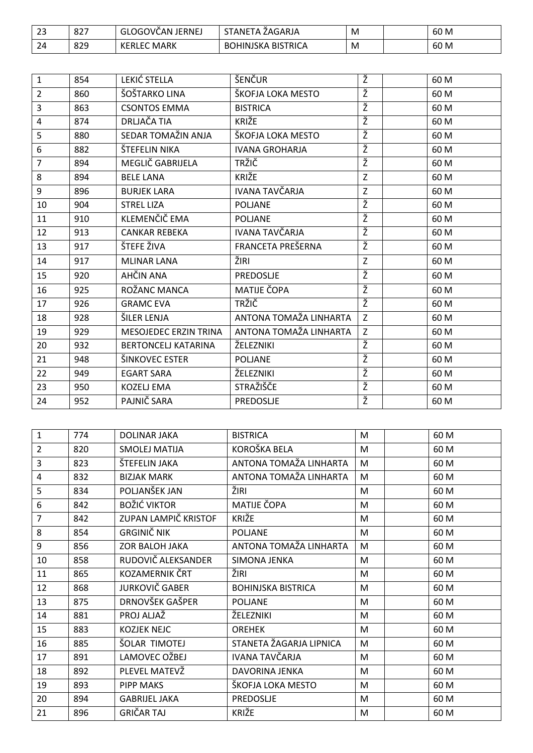| $\sim$<br>نک | 027<br>OZ. | `OGOVČAN.<br><b>JERNEJ</b><br>$\sim$<br>u | STANE <sup>-</sup><br>ZAGARJA<br>$-1A$         | M | 60 M |
|--------------|------------|-------------------------------------------|------------------------------------------------|---|------|
| 24           | 829        | <b>MARK</b><br>⊓ KERL⊧J                   | <b>BISTRICA</b><br>HINJSKA<br>D.C<br>. .<br>DU | M | 60 M |

| $\mathbf{1}$   | 854 | LEKIĆ STELLA               | ŠENČUR                 | Ž | 60 M |
|----------------|-----|----------------------------|------------------------|---|------|
| $\overline{2}$ | 860 | ŠOŠTARKO LINA              | ŠKOFJA LOKA MESTO      | Ž | 60 M |
| $\overline{3}$ | 863 | <b>CSONTOS EMMA</b>        | <b>BISTRICA</b>        | Ž | 60 M |
| $\overline{4}$ | 874 | DRLJAČA TIA                | KRIŽE                  | Ž | 60 M |
| 5              | 880 | SEDAR TOMAŽIN ANJA         | ŠKOFJA LOKA MESTO      | Ž | 60 M |
| 6              | 882 | ŠTEFELIN NIKA              | <b>IVANA GROHARJA</b>  | Ž | 60 M |
| $\overline{7}$ | 894 | MEGLIČ GABRIJELA           | <b>TRŽIČ</b>           | Ž | 60 M |
| 8              | 894 | <b>BELE LANA</b>           | KRIŽE                  | Z | 60 M |
| 9              | 896 | <b>BURJEK LARA</b>         | IVANA TAVČARJA         | Z | 60 M |
| 10             | 904 | <b>STREL LIZA</b>          | <b>POLJANE</b>         | Ž | 60 M |
| 11             | 910 | KLEMENČIČ EMA              | <b>POLJANE</b>         | Ž | 60 M |
| 12             | 913 | <b>CANKAR REBEKA</b>       | IVANA TAVČARJA         | Ž | 60 M |
| 13             | 917 | ŠTEFE ŽIVA                 | FRANCETA PREŠERNA      | Ž | 60 M |
| 14             | 917 | <b>MLINAR LANA</b>         | ŽIRI                   | Z | 60 M |
| 15             | 920 | AHČIN ANA                  | <b>PREDOSLJE</b>       | Ž | 60 M |
| 16             | 925 | ROŽANC MANCA               | <b>MATIJE ČOPA</b>     | Ž | 60 M |
| 17             | 926 | <b>GRAMC EVA</b>           | <b>TRŽIČ</b>           | Ž | 60 M |
| 18             | 928 | ŠILER LENJA                | ANTONA TOMAŽA LINHARTA | Z | 60 M |
| 19             | 929 | MESOJEDEC ERZIN TRINA      | ANTONA TOMAŽA LINHARTA | Z | 60 M |
| 20             | 932 | <b>BERTONCELJ KATARINA</b> | ŽELEZNIKI              | Ž | 60 M |
| 21             | 948 | ŠINKOVEC ESTER             | <b>POLJANE</b>         | Ž | 60 M |
| 22             | 949 | <b>EGART SARA</b>          | ŽELEZNIKI              | Ž | 60 M |
| 23             | 950 | KOZELJ EMA                 | STRAŽIŠČE              | Ž | 60 M |
| 24             | 952 | PAJNIČ SARA                | PREDOSLJE              | Ž | 60 M |

| 1              | 774 | <b>DOLINAR JAKA</b>   | <b>BISTRICA</b>           | M | 60 M |
|----------------|-----|-----------------------|---------------------------|---|------|
| $\overline{2}$ | 820 | <b>SMOLEJ MATIJA</b>  | KOROŠKA BELA              | M | 60 M |
| 3              | 823 | ŠTEFELIN JAKA         | ANTONA TOMAŽA LINHARTA    | M | 60 M |
| 4              | 832 | <b>BIZJAK MARK</b>    | ANTONA TOMAŽA LINHARTA    | M | 60 M |
| 5              | 834 | POLJANŠEK JAN         | ŽIRI                      | M | 60 M |
| 6              | 842 | <b>BOŽIĆ VIKTOR</b>   | MATIJE ČOPA               | M | 60 M |
| $\overline{7}$ | 842 | ZUPAN LAMPIČ KRISTOF  | KRIŽE                     | M | 60 M |
| 8              | 854 | <b>GRGINIČ NIK</b>    | <b>POLJANE</b>            | M | 60 M |
| 9              | 856 | ZOR BALOH JAKA        | ANTONA TOMAŽA LINHARTA    | M | 60 M |
| 10             | 858 | RUDOVIČ ALEKSANDER    | SIMONA JENKA              | M | 60 M |
| 11             | 865 | KOZAMERNIK ČRT        | ŽIRI                      | M | 60 M |
| 12             | 868 | <b>JURKOVIČ GABER</b> | <b>BOHINJSKA BISTRICA</b> | M | 60 M |
| 13             | 875 | DRNOVŠEK GAŠPER       | <b>POLJANE</b>            | M | 60 M |
| 14             | 881 | PROJ ALJAŽ            | ŽELEZNIKI                 | M | 60 M |
| 15             | 883 | <b>KOZJEK NEJC</b>    | <b>OREHEK</b>             | M | 60 M |
| 16             | 885 | ŠOLAR TIMOTEJ         | STANETA ŽAGARJA LIPNICA   | M | 60 M |
| 17             | 891 | LAMOVEC OŽBEJ         | IVANA TAVČARJA            | M | 60 M |
| 18             | 892 | PLEVEL MATEVŽ         | DAVORINA JENKA            | M | 60 M |
| 19             | 893 | <b>PIPP MAKS</b>      | ŠKOFJA LOKA MESTO         | M | 60 M |
| 20             | 894 | <b>GABRIJEL JAKA</b>  | PREDOSLJE                 | M | 60 M |
| 21             | 896 | <b>GRIČAR TAJ</b>     | <b>KRIŽE</b>              | M | 60 M |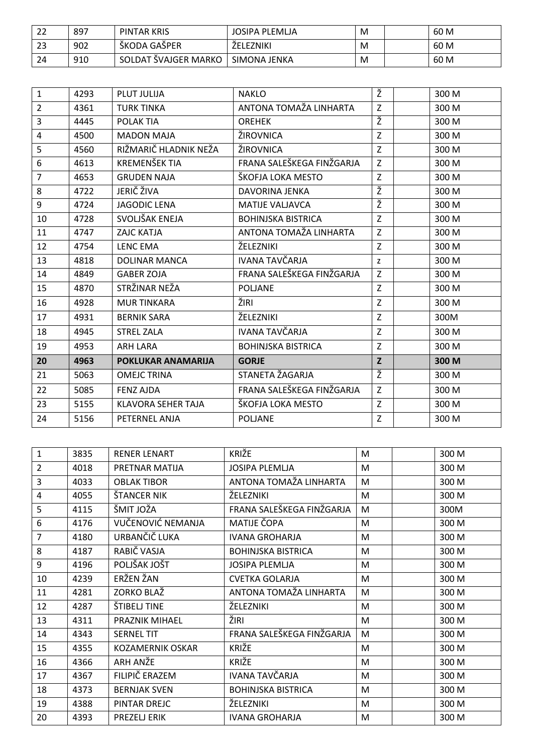| າາ<br>∠∠ | 897 | PINTAR KRIS          | JOSIPA PLEMLJA   | M | 60 M |
|----------|-----|----------------------|------------------|---|------|
| 23       | 902 | ŠKODA GAŠPER         | <b>ZELEZNIKI</b> | M | 60 M |
| 24       | 910 | SOLDAT ŠVAJGER MARKO | SIMONA JENKA     | M | 60 M |

| $\mathbf{1}$   | 4293 | PLUT JULIJA               | <b>NAKLO</b>              | Ž           | 300 M |
|----------------|------|---------------------------|---------------------------|-------------|-------|
| $\overline{2}$ | 4361 | <b>TURK TINKA</b>         | ANTONA TOMAŽA LINHARTA    | Z           | 300 M |
| 3              | 4445 | POLAK TIA                 | <b>OREHEK</b>             | Ž           | 300 M |
| $\overline{4}$ | 4500 | <b>MADON MAJA</b>         | ŽIROVNICA                 | Z           | 300 M |
| 5              | 4560 | RIŽMARIČ HLADNIK NEŽA     | ŽIROVNICA                 | Z           | 300 M |
| 6              | 4613 | <b>KREMENŠEK TIA</b>      | FRANA SALEŠKEGA FINŽGARJA | Z           | 300 M |
| $\overline{7}$ | 4653 | <b>GRUDEN NAJA</b>        | ŠKOFJA LOKA MESTO         | Z           | 300 M |
| 8              | 4722 | JERIČ ŽIVA                | DAVORINA JENKA            | Ž           | 300 M |
| 9              | 4724 | <b>JAGODIC LENA</b>       | <b>MATIJE VALJAVCA</b>    | Ž           | 300 M |
| 10             | 4728 | SVOLJŠAK ENEJA            | <b>BOHINJSKA BISTRICA</b> | Z           | 300 M |
| 11             | 4747 | <b>ZAJC KATJA</b>         | ANTONA TOMAŽA LINHARTA    | Z           | 300 M |
| 12             | 4754 | <b>LENC EMA</b>           | ŽELEZNIKI                 | Z           | 300 M |
| 13             | 4818 | <b>DOLINAR MANCA</b>      | <b>IVANA TAVČARJA</b>     | Z           | 300 M |
| 14             | 4849 | <b>GABER ZOJA</b>         | FRANA SALEŠKEGA FINŽGARJA | Z           | 300 M |
| 15             | 4870 | STRŽINAR NEŽA             | <b>POLJANE</b>            | Z           | 300 M |
| 16             | 4928 | <b>MUR TINKARA</b>        | ŽIRI                      | Z           | 300 M |
| 17             | 4931 | <b>BERNIK SARA</b>        | ŽELEZNIKI                 | Z           | 300M  |
| 18             | 4945 | <b>STREL ZALA</b>         | <b>IVANA TAVČARJA</b>     | Z           | 300 M |
| 19             | 4953 | <b>ARH LARA</b>           | <b>BOHINJSKA BISTRICA</b> | $\mathsf Z$ | 300 M |
| 20             | 4963 | POKLUKAR ANAMARIJA        | <b>GORJE</b>              | Z           | 300 M |
| 21             | 5063 | <b>OMEJC TRINA</b>        | STANETA ŽAGARJA           | ž           | 300 M |
| 22             | 5085 | <b>FENZ AJDA</b>          | FRANA SALEŠKEGA FINŽGARJA | Z           | 300 M |
| 23             | 5155 | <b>KLAVORA SEHER TAJA</b> | ŠKOFJA LOKA MESTO         | Z           | 300 M |
| 24             | 5156 | PETERNEL ANJA             | <b>POLJANE</b>            | Z           | 300 M |

| 1                       | 3835 | <b>RENER LENART</b>     | KRIŽE                     | M | 300 M |
|-------------------------|------|-------------------------|---------------------------|---|-------|
| 2                       | 4018 | PRETNAR MATIJA          | <b>JOSIPA PLEMLJA</b>     | M | 300 M |
| 3                       | 4033 | <b>OBLAK TIBOR</b>      | ANTONA TOMAŽA LINHARTA    | M | 300 M |
| $\overline{\mathbf{4}}$ | 4055 | ŠTANCER NIK             | ŽELEZNIKI                 | M | 300 M |
| 5                       | 4115 | ŠMIT JOŽA               | FRANA SALEŠKEGA FINŽGARJA | М | 300M  |
| 6                       | 4176 | VUČENOVIĆ NEMANJA       | MATIJE ČOPA               | M | 300 M |
| 7                       | 4180 | URBANČIČ LUKA           | <b>IVANA GROHARJA</b>     | M | 300 M |
| 8                       | 4187 | RABIČ VASJA             | <b>BOHINJSKA BISTRICA</b> | M | 300 M |
| 9                       | 4196 | POLJŠAK JOŠT            | <b>JOSIPA PLEMLJA</b>     | M | 300 M |
| 10                      | 4239 | ERŽEN ŽAN               | <b>CVETKA GOLARJA</b>     | M | 300 M |
| 11                      | 4281 | ZORKO BLAŽ              | ANTONA TOMAŽA LINHARTA    | M | 300 M |
| 12                      | 4287 | ŠTIBELJ TINE            | ŽELEZNIKI                 | M | 300 M |
| 13                      | 4311 | PRAZNIK MIHAEL          | ŽIRI                      | M | 300 M |
| 14                      | 4343 | <b>SERNEL TIT</b>       | FRANA SALEŠKEGA FINŽGARJA | M | 300 M |
| 15                      | 4355 | <b>KOZAMERNIK OSKAR</b> | <b>KRIŽE</b>              | M | 300 M |
| 16                      | 4366 | ARH ANŽE                | KRIŽE                     | M | 300 M |
| 17                      | 4367 | FILIPIČ ERAZEM          | IVANA TAVČARJA            | M | 300 M |
| 18                      | 4373 | <b>BERNJAK SVEN</b>     | <b>BOHINJSKA BISTRICA</b> | M | 300 M |
| 19                      | 4388 | PINTAR DREJC            | ŽELEZNIKI                 | M | 300 M |
| 20                      | 4393 | PREZELJ ERIK            | <b>IVANA GROHARJA</b>     | M | 300 M |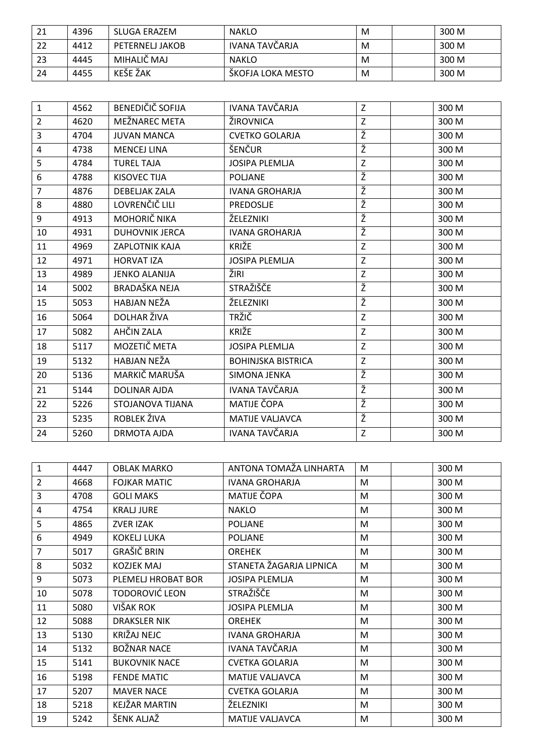| 21 | 4396 | SLUGA ERAZEM    | <b>NAKLO</b>      | M | 300 M |
|----|------|-----------------|-------------------|---|-------|
| 22 | 4412 | PETERNELJ JAKOB | IVANA TAVČARJA    | M | 300 M |
| 23 | 4445 | MIHALIČ MAJ     | <b>NAKLO</b>      | M | 300 M |
| 24 | 4455 | <b>KEŠE ŽAK</b> | ŠKOFJA LOKA MESTO | M | 300 M |

| $\mathbf{1}$   | 4562 | BENEDIČIČ SOFIJA      | IVANA TAVČARJA            | Z            | 300 M |
|----------------|------|-----------------------|---------------------------|--------------|-------|
| $\overline{2}$ | 4620 | MEŽNAREC META         | ŽIROVNICA                 | Z            | 300 M |
| $\overline{3}$ | 4704 | <b>JUVAN MANCA</b>    | <b>CVETKO GOLARJA</b>     | Ž            | 300 M |
| 4              | 4738 | <b>MENCEJ LINA</b>    | ŠENČUR                    | Ž            | 300 M |
| 5              | 4784 | <b>TUREL TAJA</b>     | <b>JOSIPA PLEMLJA</b>     | $\mathsf{Z}$ | 300 M |
| 6              | 4788 | <b>KISOVEC TIJA</b>   | <b>POLJANE</b>            | Ž            | 300 M |
| $\overline{7}$ | 4876 | <b>DEBELJAK ZALA</b>  | <b>IVANA GROHARJA</b>     | Ž            | 300 M |
| 8              | 4880 | LOVRENČIČ LILI        | <b>PREDOSLJE</b>          | Ž            | 300 M |
| 9              | 4913 | MOHORIČ NIKA          | ŽELEZNIKI                 | Ž            | 300 M |
| 10             | 4931 | <b>DUHOVNIK JERCA</b> | <b>IVANA GROHARJA</b>     | Ž            | 300 M |
| 11             | 4969 | ZAPLOTNIK KAJA        | KRIŽE                     | $\mathsf{Z}$ | 300 M |
| 12             | 4971 | <b>HORVAT IZA</b>     | <b>JOSIPA PLEMLJA</b>     | $\mathsf{Z}$ | 300 M |
| 13             | 4989 | <b>JENKO ALANIJA</b>  | ŽIRI                      | $\mathsf{Z}$ | 300 M |
| 14             | 5002 | <b>BRADAŠKA NEJA</b>  | STRAŽIŠČE                 | Ž            | 300 M |
| 15             | 5053 | HABJAN NEŽA           | ŽELEZNIKI                 | Ž            | 300 M |
| 16             | 5064 | DOLHAR ŽIVA           | <b>TRŽIČ</b>              | Z            | 300 M |
| 17             | 5082 | AHČIN ZALA            | KRIŽE                     | Z            | 300 M |
| 18             | 5117 | MOZETIČ META          | <b>JOSIPA PLEMLJA</b>     | Z            | 300 M |
| 19             | 5132 | HABJAN NEŽA           | <b>BOHINJSKA BISTRICA</b> | $\mathsf{Z}$ | 300 M |
| 20             | 5136 | MARKIČ MARUŠA         | SIMONA JENKA              | Ž            | 300 M |
| 21             | 5144 | <b>DOLINAR AJDA</b>   | <b>IVANA TAVČARJA</b>     | Ž            | 300 M |
| 22             | 5226 | STOJANOVA TIJANA      | MATIJE ČOPA               | Ž            | 300 M |
| 23             | 5235 | ROBLEK ŽIVA           | <b>MATIJE VALJAVCA</b>    | Ž            | 300 M |
| 24             | 5260 | <b>DRMOTA AJDA</b>    | IVANA TAVČARJA            | $\mathsf{Z}$ | 300 M |

| $\mathbf{1}$   | 4447 | <b>OBLAK MARKO</b>    | ANTONA TOMAŽA LINHARTA  | M | 300 M |
|----------------|------|-----------------------|-------------------------|---|-------|
| $\overline{2}$ | 4668 | <b>FOJKAR MATIC</b>   | <b>IVANA GROHARJA</b>   | M | 300 M |
| 3              | 4708 | <b>GOLI MAKS</b>      | MATIJE ČOPA             | M | 300 M |
| 4              | 4754 | <b>KRALJ JURE</b>     | <b>NAKLO</b>            | M | 300 M |
| 5              | 4865 | ZVER IZAK             | <b>POLJANE</b>          | M | 300 M |
| 6              | 4949 | <b>KOKELJ LUKA</b>    | <b>POLJANE</b>          | M | 300 M |
| 7              | 5017 | GRAŠIČ BRIN           | <b>OREHEK</b>           | M | 300 M |
| 8              | 5032 | <b>KOZJEK MAJ</b>     | STANETA ŽAGARJA LIPNICA | M | 300 M |
| 9              | 5073 | PLEMELJ HROBAT BOR    | <b>JOSIPA PLEMLJA</b>   | M | 300 M |
| 10             | 5078 | <b>TODOROVIĆ LEON</b> | STRAŽIŠČE               | M | 300 M |
| 11             | 5080 | VIŠAK ROK             | <b>JOSIPA PLEMLJA</b>   | M | 300 M |
| 12             | 5088 | <b>DRAKSLER NIK</b>   | <b>OREHEK</b>           | M | 300 M |
| 13             | 5130 | KRIŽAJ NEJC           | <b>IVANA GROHARJA</b>   | M | 300 M |
| 14             | 5132 | <b>BOŽNAR NACE</b>    | IVANA TAVČARJA          | M | 300 M |
| 15             | 5141 | <b>BUKOVNIK NACE</b>  | <b>CVETKA GOLARJA</b>   | M | 300 M |
| 16             | 5198 | <b>FENDE MATIC</b>    | <b>MATIJE VALJAVCA</b>  | M | 300 M |
| 17             | 5207 | <b>MAVER NACE</b>     | <b>CVETKA GOLARJA</b>   | M | 300 M |
| 18             | 5218 | KEJŽAR MARTIN         | ŽELEZNIKI               | M | 300 M |
| 19             | 5242 | ŠENK ALJAŽ            | <b>MATIJE VALJAVCA</b>  | M | 300 M |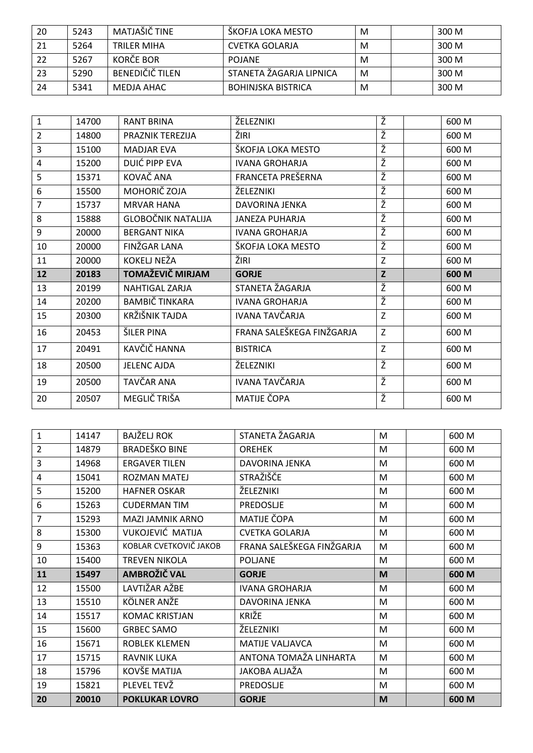| -20 | 5243 | MATJAŠIČ TINE          | ŠKOFJA LOKA MESTO         | M | 300 M |
|-----|------|------------------------|---------------------------|---|-------|
| 21  | 5264 | TRILFR MIHA            | CVETKA GOLARJA            | M | 300 M |
| 22  | 5267 | KORČE BOR              | <b>POJANE</b>             | M | 300 M |
| 23  | 5290 | <b>BENEDIČIČ TILEN</b> | STANETA ŽAGARJA LIPNICA   | M | 300 M |
| 24  | 5341 | MEDJA AHAC             | <b>BOHINJSKA BISTRICA</b> | М | 300 M |

| $\mathbf{1}$   | 14700 | <b>RANT BRINA</b>         | ŽELEZNIKI                 | Ž | 600 M |
|----------------|-------|---------------------------|---------------------------|---|-------|
| $\overline{2}$ | 14800 | PRAZNIK TEREZIJA          | ŽIRI                      | Ž | 600 M |
| 3              | 15100 | <b>MADJAR EVA</b>         | ŠKOFJA LOKA MESTO         | Ž | 600 M |
| 4              | 15200 | <b>DUIĆ PIPP EVA</b>      | <b>IVANA GROHARJA</b>     | Ž | 600 M |
| 5              | 15371 | KOVAČ ANA                 | FRANCETA PREŠERNA         | Ž | 600 M |
| 6              | 15500 | MOHORIČ ZOJA              | ŽELEZNIKI                 | Ž | 600 M |
| 7              | 15737 | <b>MRVAR HANA</b>         | <b>DAVORINA JENKA</b>     | Ž | 600 M |
| 8              | 15888 | <b>GLOBOČNIK NATALIJA</b> | <b>JANEZA PUHARJA</b>     | Ž | 600 M |
| 9              | 20000 | <b>BERGANT NIKA</b>       | <b>IVANA GROHARJA</b>     | Ž | 600 M |
| 10             | 20000 | FINŽGAR LANA              | ŠKOFJA LOKA MESTO         | Ž | 600 M |
| 11             | 20000 | KOKELJ NEŽA               | ŽIRI                      | Z | 600 M |
| 12             | 20183 | TOMAŽEVIČ MIRJAM          | <b>GORJE</b>              | Z | 600 M |
| 13             | 20199 | <b>NAHTIGAL ZARJA</b>     | STANETA ŽAGARJA           | Ž | 600 M |
| 14             | 20200 | <b>BAMBIČ TINKARA</b>     | <b>IVANA GROHARJA</b>     | Ž | 600 M |
|                |       |                           |                           |   |       |
| 15             | 20300 | KRŽIŠNIK TAJDA            | IVANA TAVČARJA            | Z | 600 M |
| 16             | 20453 | ŠILER PINA                | FRANA SALEŠKEGA FINŽGARJA | Z | 600 M |
| 17             | 20491 | KAVČIČ HANNA              | <b>BISTRICA</b>           | Z | 600 M |
| 18             | 20500 | <b>JELENC AJDA</b>        | ŽELEZNIKI                 | Ž | 600 M |
| 19             | 20500 | TAVČAR ANA                | <b>IVANA TAVČARJA</b>     | Ž | 600 M |

| $\mathbf{1}$   | 14147 | BAJŽELJ ROK             | STANETA ŽAGARJA           | M | 600 M |
|----------------|-------|-------------------------|---------------------------|---|-------|
| $\overline{2}$ | 14879 | <b>BRADEŠKO BINE</b>    | <b>OREHEK</b>             | M | 600 M |
| 3              | 14968 | <b>ERGAVER TILEN</b>    | <b>DAVORINA JENKA</b>     | M | 600 M |
| 4              | 15041 | ROZMAN MATEJ            | STRAŽIŠČE                 | M | 600 M |
| 5              | 15200 | <b>HAFNER OSKAR</b>     | ŽELEZNIKI                 | M | 600 M |
| 6              | 15263 | <b>CUDERMAN TIM</b>     | <b>PREDOSLJE</b>          | M | 600 M |
| 7              | 15293 | MAZI JAMNIK ARNO        | MATIJE ČOPA               | M | 600 M |
| 8              | 15300 | <b>VUKOJEVIĆ MATIJA</b> | <b>CVETKA GOLARJA</b>     | M | 600 M |
| 9              | 15363 | KOBLAR CVETKOVIČ JAKOB  | FRANA SALEŠKEGA FINŽGARJA | M | 600 M |
| 10             | 15400 | <b>TREVEN NIKOLA</b>    | <b>POLJANE</b>            | M | 600 M |
|                |       |                         |                           |   |       |
| 11             | 15497 | AMBROŽIČ VAL            | <b>GORJE</b>              | M | 600 M |
| 12             | 15500 | LAVTIŽAR AŽBE           | <b>IVANA GROHARJA</b>     | M | 600 M |
| 13             | 15510 | KÖLNER ANŽE             | DAVORINA JENKA            | M | 600 M |
| 14             | 15517 | <b>KOMAC KRISTJAN</b>   | KRIŽE                     | M | 600 M |
| 15             | 15600 | <b>GRBEC SAMO</b>       | ŽELEZNIKI                 | M | 600 M |
| 16             | 15671 | <b>ROBLEK KLEMEN</b>    | <b>MATIJE VALJAVCA</b>    | M | 600 M |
| 17             | 15715 | RAVNIK LUKA             | ANTONA TOMAŽA LINHARTA    | M | 600 M |
| 18             | 15796 | KOVŠE MATIJA            | JAKOBA ALJAŽA             | M | 600 M |
| 19             | 15821 | PLEVEL TEVŽ             | <b>PREDOSLJE</b>          | M | 600 M |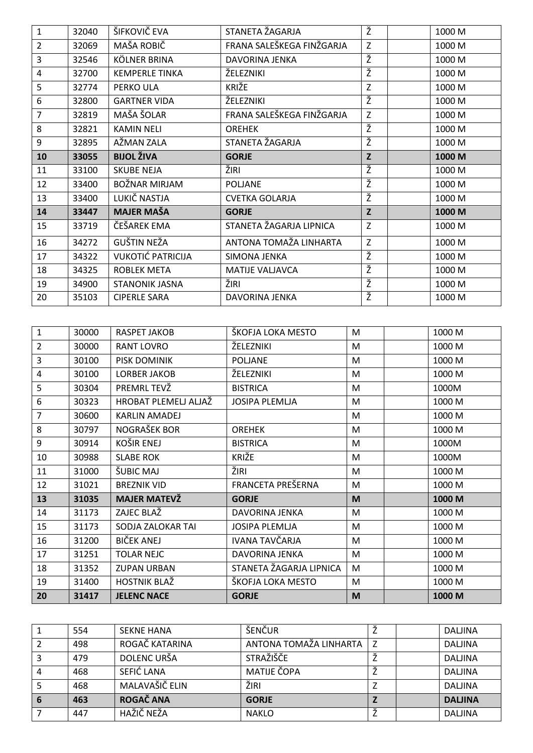| $\mathbf{1}$   | 32040 | ŠIFKOVIČ EVA             | STANETA ŽAGARJA           | Ž | 1000 M |
|----------------|-------|--------------------------|---------------------------|---|--------|
| $\overline{2}$ | 32069 | MAŠA ROBIČ               | FRANA SALEŠKEGA FINŽGARJA | Z | 1000 M |
| 3              | 32546 | KÖLNER BRINA             | DAVORINA JENKA            | Ž | 1000 M |
| 4              | 32700 | <b>KEMPERLE TINKA</b>    | ŽELEZNIKI                 | Ž | 1000 M |
| 5              | 32774 | PERKO ULA                | KRIŽE                     | Z | 1000 M |
| 6              | 32800 | <b>GARTNER VIDA</b>      | ŽELEZNIKI                 | Ž | 1000 M |
| 7              | 32819 | MAŠA ŠOLAR               | FRANA SALEŠKEGA FINŽGARJA | Z | 1000 M |
| 8              | 32821 | <b>KAMIN NELI</b>        | <b>OREHEK</b>             | Ž | 1000 M |
| 9              | 32895 | AŽMAN ZALA               | STANETA ŽAGARJA           | Ž | 1000 M |
| 10             | 33055 | <b>BIJOL ŽIVA</b>        | <b>GORJE</b>              | Z | 1000 M |
| 11             | 33100 | <b>SKUBE NEJA</b>        | ŽIRI                      | Ž | 1000 M |
| 12             | 33400 | BOŽNAR MIRJAM            | <b>POLJANE</b>            | Ž | 1000 M |
| 13             | 33400 | LUKIČ NASTJA             | <b>CVETKA GOLARJA</b>     | Ž | 1000 M |
| 14             | 33447 | <b>MAJER MAŠA</b>        | <b>GORJE</b>              | Z | 1000 M |
| 15             | 33719 | ČEŠAREK EMA              | STANETA ŽAGARJA LIPNICA   | Z | 1000 M |
| 16             | 34272 | <b>GUŠTIN NEŽA</b>       | ANTONA TOMAŽA LINHARTA    | Z | 1000 M |
| 17             | 34322 | <b>VUKOTIĆ PATRICIJA</b> | SIMONA JENKA              | Ž | 1000 M |
| 18             | 34325 | <b>ROBLEK META</b>       | <b>MATIJE VALJAVCA</b>    | Ž | 1000 M |
| 19             | 34900 | <b>STANONIK JASNA</b>    | ŽIRI                      | Ž | 1000 M |
| 20             | 35103 | <b>CIPERLE SARA</b>      | DAVORINA JENKA            | Ž | 1000 M |

| 1              | 30000 | RASPET JAKOB         | ŠKOFJA LOKA MESTO       | M | 1000 M |
|----------------|-------|----------------------|-------------------------|---|--------|
| $\overline{2}$ | 30000 | <b>RANT LOVRO</b>    | ŽELEZNIKI               | M | 1000 M |
| 3              | 30100 | PISK DOMINIK         | <b>POLJANE</b>          | M | 1000 M |
| 4              | 30100 | LORBER JAKOB         | ŽELEZNIKI               | M | 1000 M |
| 5              | 30304 | PREMRL TEVŽ          | <b>BISTRICA</b>         | M | 1000M  |
| 6              | 30323 | HROBAT PLEMELJ ALJAŽ | <b>JOSIPA PLEMLJA</b>   | M | 1000 M |
| 7              | 30600 | <b>KARLIN AMADEJ</b> |                         | M | 1000 M |
| 8              | 30797 | NOGRAŠEK BOR         | <b>OREHEK</b>           | M | 1000 M |
| 9              | 30914 | <b>KOŠIR ENEJ</b>    | <b>BISTRICA</b>         | M | 1000M  |
| 10             | 30988 | <b>SLABE ROK</b>     | <b>KRIŽE</b>            | M | 1000M  |
| 11             | 31000 | ŠUBIC MAJ            | ŽIRI                    | M | 1000 M |
| 12             | 31021 | <b>BREZNIK VID</b>   | FRANCETA PREŠERNA       | M | 1000 M |
| 13             | 31035 | <b>MAJER MATEVŽ</b>  | <b>GORJE</b>            | M | 1000 M |
| 14             | 31173 | ZAJEC BLAŽ           | DAVORINA JENKA          | M | 1000 M |
| 15             | 31173 | SODJA ZALOKAR TAI    | <b>JOSIPA PLEMLJA</b>   | M | 1000 M |
| 16             | 31200 | BIČEK ANEJ           | IVANA TAVČARJA          | M | 1000 M |
| 17             | 31251 | <b>TOLAR NEJC</b>    | DAVORINA JENKA          | M | 1000 M |
| 18             | 31352 | <b>ZUPAN URBAN</b>   | STANETA ŽAGARJA LIPNICA | M | 1000 M |
| 19             | 31400 | <b>HOSTNIK BLAŽ</b>  | ŠKOFJA LOKA MESTO       | M | 1000 M |
| 20             | 31417 | <b>JELENC NACE</b>   | <b>GORJE</b>            | M | 1000 M |

| 554 | <b>SFKNF HANA</b> | ŠENČUR                 |  | <b>DALJINA</b> |
|-----|-------------------|------------------------|--|----------------|
| 498 | ROGAČ KATARINA    | ANTONA TOMAŽA LINHARTA |  | <b>DALJINA</b> |
| 479 | DOLENC URŠA       | <b>STRAŽIŠČE</b>       |  | <b>DALJINA</b> |
| 468 | SEFIĆ LANA        | MATIJE ČOPA            |  | <b>DALJINA</b> |
| 468 | MALAVAŠIČ ELIN    | ŽIRI                   |  | <b>DALJINA</b> |
| 463 | ROGAČ ANA         | <b>GORJE</b>           |  | <b>DALJINA</b> |
| 447 | HAŽIČ NEŽA        | <b>NAKLO</b>           |  | <b>DALJINA</b> |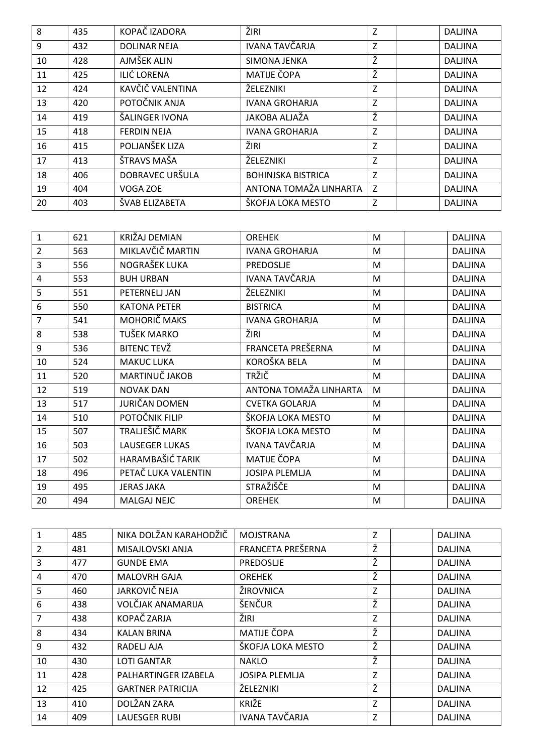| 8  | 435 | KOPAČ IZADORA       | ŽIRI                      | Z | <b>DALJINA</b> |
|----|-----|---------------------|---------------------------|---|----------------|
| 9  | 432 | <b>DOLINAR NEJA</b> | <b>IVANA TAVČARJA</b>     | Z | <b>DALJINA</b> |
| 10 | 428 | AJMŠEK ALIN         | SIMONA JENKA              | Ž | <b>DALJINA</b> |
| 11 | 425 | <b>ILIĆ LORENA</b>  | MATIJE ČOPA               | Ž | <b>DALJINA</b> |
| 12 | 424 | KAVČIČ VALENTINA    | ŽELEZNIKI                 | Z | <b>DALJINA</b> |
| 13 | 420 | POTOČNIK ANJA       | <b>IVANA GROHARJA</b>     | Z | <b>DALJINA</b> |
| 14 | 419 | ŠALINGER IVONA      | JAKOBA ALJAŽA             | Ž | <b>DALJINA</b> |
| 15 | 418 | <b>FERDIN NEJA</b>  | <b>IVANA GROHARJA</b>     | Z | <b>DALJINA</b> |
| 16 | 415 | POLJANŠEK LIZA      | ŽIRI                      | Z | <b>DALJINA</b> |
| 17 | 413 | ŠTRAVS MAŠA         | ŽELEZNIKI                 | Z | <b>DALJINA</b> |
| 18 | 406 | DOBRAVEC URŠULA     | <b>BOHINJSKA BISTRICA</b> | Z | <b>DALJINA</b> |
| 19 | 404 | VOGA ZOE            | ANTONA TOMAŽA LINHARTA    | Z | <b>DALJINA</b> |
| 20 | 403 | ŠVAB ELIZABETA      | ŠKOFJA LOKA MESTO         | Z | <b>DALJINA</b> |

| $\mathbf{1}$   | 621 | KRIŽAJ DEMIAN         | <b>OREHEK</b>          | M         | <b>DALJINA</b> |
|----------------|-----|-----------------------|------------------------|-----------|----------------|
| $\overline{2}$ | 563 | MIKLAVČIČ MARTIN      | <b>IVANA GROHARJA</b>  | M         | <b>DALJINA</b> |
| 3              | 556 | NOGRAŠEK LUKA         | PREDOSLJE              | M         | <b>DALJINA</b> |
| 4              | 553 | <b>BUH URBAN</b>      | IVANA TAVČARJA         | M         | <b>DALJINA</b> |
| 5              | 551 | PETERNELJ JAN         | ŽELEZNIKI              | M         | <b>DALJINA</b> |
| 6              | 550 | <b>KATONA PETER</b>   | <b>BISTRICA</b>        | M         | <b>DALJINA</b> |
| $\overline{7}$ | 541 | MOHORIČ MAKS          | <b>IVANA GROHARJA</b>  | M         | <b>DALJINA</b> |
| 8              | 538 | TUŠEK MARKO           | ŽIRI                   | M         | <b>DALJINA</b> |
| 9              | 536 | <b>BITENC TEVŽ</b>    | FRANCETA PREŠERNA      | M         | <b>DALJINA</b> |
| 10             | 524 | <b>MAKUC LUKA</b>     | KOROŠKA BELA           | M         | <b>DALJINA</b> |
| 11             | 520 | MARTINUČ JAKOB        | <b>TRŽIČ</b>           | M         | <b>DALJINA</b> |
| 12             | 519 | <b>NOVAK DAN</b>      | ANTONA TOMAŽA LINHARTA | M         | <b>DALJINA</b> |
| 13             | 517 | JURIČAN DOMEN         | <b>CVETKA GOLARJA</b>  | M         | <b>DALJINA</b> |
| 14             | 510 | POTOČNIK FILIP        | ŠKOFJA LOKA MESTO      | M         | <b>DALJINA</b> |
| 15             | 507 | TRALJEŠIČ MARK        | ŠKOFJA LOKA MESTO      | M         | <b>DALJINA</b> |
| 16             | 503 | <b>LAUSEGER LUKAS</b> | IVANA TAVČARJA         | M         | <b>DALJINA</b> |
| 17             | 502 | HARAMBAŠIĆ TARIK      | MATIJE ČOPA            | M         | <b>DALJINA</b> |
| 18             | 496 | PETAČ LUKA VALENTIN   | <b>JOSIPA PLEMLJA</b>  | M         | <b>DALJINA</b> |
| 19             | 495 | <b>JERAS JAKA</b>     | STRAŽIŠČE              | M         | <b>DALJINA</b> |
| 20             | 494 | <b>MALGAJ NEJC</b>    | <b>OREHEK</b>          | ${\sf M}$ | <b>DALJINA</b> |

| 1              | 485 | NIKA DOLŽAN KARAHODŽIČ   | <b>MOJSTRANA</b>      | Z | <b>DALJINA</b> |
|----------------|-----|--------------------------|-----------------------|---|----------------|
| $\overline{2}$ | 481 | MISAJLOVSKI ANJA         | FRANCETA PREŠERNA     | ž | <b>DALJINA</b> |
| 3              | 477 | <b>GUNDE EMA</b>         | <b>PREDOSLIE</b>      | ž | <b>DALJINA</b> |
| 4              | 470 | <b>MALOVRH GAJA</b>      | <b>OREHEK</b>         | Ž | <b>DALJINA</b> |
| 5              | 460 | <b>JARKOVIČ NEJA</b>     | ŽIROVNICA             | Z | <b>DALJINA</b> |
| 6              | 438 | VOLČJAK ANAMARIJA        | ŠENČUR                | Ž | <b>DALJINA</b> |
| 7              | 438 | KOPAČ ZARJA              | ŽIRI                  | Z | <b>DALJINA</b> |
| 8              | 434 | <b>KALAN BRINA</b>       | <b>MATIJE ČOPA</b>    | Ž | <b>DALJINA</b> |
| 9              | 432 | RADELJ AJA               | ŠKOFJA LOKA MESTO     | Ž | <b>DALJINA</b> |
| 10             | 430 | <b>LOTI GANTAR</b>       | <b>NAKLO</b>          | Ž | <b>DALJINA</b> |
| 11             | 428 | PALHARTINGER IZABELA     | <b>JOSIPA PLEMLJA</b> | Z | <b>DALJINA</b> |
| 12             | 425 | <b>GARTNER PATRICIJA</b> | ŽELEZNIKI             | Ž | <b>DALJINA</b> |
| 13             | 410 | DOLŽAN ZARA              | <b>KRIŽE</b>          | Z | <b>DALJINA</b> |
| 14             | 409 | <b>LAUESGER RUBI</b>     | <b>IVANA TAVČARJA</b> | Z | <b>DALJINA</b> |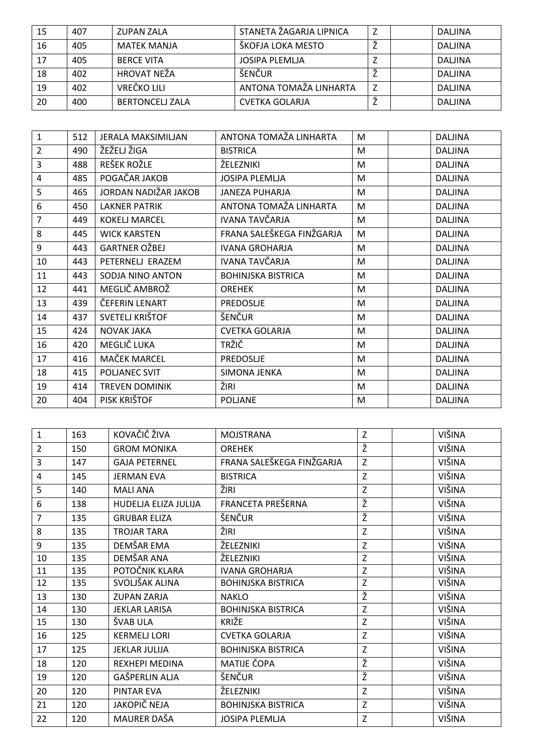| 15 | 407 | <b>ZUPAN ZALA</b>      | STANETA ŽAGARJA LIPNICA | ∸ | DALJINA |
|----|-----|------------------------|-------------------------|---|---------|
| 16 | 405 | MATEK MANJA            | ŠKOFJA LOKA MESTO       |   | DALJINA |
| 17 | 405 | <b>BERCE VITA</b>      | JOSIPA PLEMLJA          |   | DALJINA |
| 18 | 402 | HROVAT NEŽA            | ŠENČUR                  |   | DALJINA |
| 19 | 402 | VREČKO LILI            | ANTONA TOMAŽA LINHARTA  | Z | DALJINA |
| 20 | 400 | <b>BERTONCELL ZALA</b> | <b>CVETKA GOLARJA</b>   |   | DALJINA |

| $\mathbf{1}$   | 512 | <b>JERALA MAKSIMILJAN</b> | ANTONA TOMAŽA LINHARTA    | M | <b>DALJINA</b> |
|----------------|-----|---------------------------|---------------------------|---|----------------|
| $\overline{2}$ | 490 | ŽEŽELJ ŽIGA               | <b>BISTRICA</b>           | M | <b>DALJINA</b> |
| 3              | 488 | REŠEK ROŽLE               | ŽELEZNIKI                 | M | <b>DALJINA</b> |
| 4              | 485 | POGAČAR JAKOB             | <b>JOSIPA PLEMLJA</b>     | M | <b>DALJINA</b> |
| 5              | 465 | JORDAN NADIŽAR JAKOB      | JANEZA PUHARJA            | M | <b>DALJINA</b> |
| 6              | 450 | <b>LAKNER PATRIK</b>      | ANTONA TOMAŽA LINHARTA    | M | <b>DALJINA</b> |
| 7              | 449 | <b>KOKELJ MARCEL</b>      | IVANA TAVČARJA            | M | <b>DALJINA</b> |
| 8              | 445 | <b>WICK KARSTEN</b>       | FRANA SALEŠKEGA FINŽGARJA | M | <b>DALJINA</b> |
| 9              | 443 | GARTNER OŽBEJ             | <b>IVANA GROHARJA</b>     | M | <b>DALJINA</b> |
| 10             | 443 | PETERNELJ ERAZEM          | IVANA TAVČARJA            | M | <b>DALJINA</b> |
| 11             | 443 | SODJA NINO ANTON          | <b>BOHINJSKA BISTRICA</b> | M | <b>DALJINA</b> |
| 12             | 441 | MEGLIČ AMBROŽ             | <b>OREHEK</b>             | M | <b>DALJINA</b> |
| 13             | 439 | ČEFERIN LENART            | PREDOSLJE                 | M | <b>DALJINA</b> |
| 14             | 437 | SVETELJ KRIŠTOF           | ŠENČUR                    | M | <b>DALJINA</b> |
| 15             | 424 | <b>NOVAK JAKA</b>         | <b>CVETKA GOLARJA</b>     | M | <b>DALJINA</b> |
| 16             | 420 | MEGLIČ LUKA               | <b>TRŽIČ</b>              | M | <b>DALJINA</b> |
| 17             | 416 | MAČEK MARCEL              | <b>PREDOSLJE</b>          | M | <b>DALJINA</b> |
| 18             | 415 | POLJANEC SVIT             | SIMONA JENKA              | M | <b>DALJINA</b> |
| 19             | 414 | <b>TREVEN DOMINIK</b>     | ŽIRI                      | M | <b>DALJINA</b> |
| 20             | 404 | PISK KRIŠTOF              | <b>POLJANE</b>            | M | <b>DALJINA</b> |

| $\mathbf{1}$   | 163 | KOVAČIČ ŽIVA          | <b>MOJSTRANA</b>          | Z | VIŠINA        |
|----------------|-----|-----------------------|---------------------------|---|---------------|
| $\overline{2}$ | 150 | <b>GROM MONIKA</b>    | <b>OREHEK</b>             | Ž | VIŠINA        |
| 3              | 147 | <b>GAJA PETERNEL</b>  | FRANA SALEŠKEGA FINŽGARJA | Z | VIŠINA        |
| 4              | 145 | <b>JERMAN EVA</b>     | <b>BISTRICA</b>           | Z | VIŠINA        |
| 5              | 140 | <b>MALI ANA</b>       | ŽIRI                      | Z | VIŠINA        |
| 6              | 138 | HUDELJA ELIZA JULIJA  | FRANCETA PREŠERNA         | Ž | VIŠINA        |
| $\overline{7}$ | 135 | <b>GRUBAR ELIZA</b>   | ŠENČUR                    | Ž | VIŠINA        |
| 8              | 135 | <b>TROJAR TARA</b>    | ŽIRI                      | Z | VIŠINA        |
| 9              | 135 | DEMŠAR EMA            | ŽELEZNIKI                 | Z | VIŠINA        |
| 10             | 135 | DEMŠAR ANA            | ŽELEZNIKI                 | Z | VIŠINA        |
| 11             | 135 | POTOČNIK KLARA        | <b>IVANA GROHARJA</b>     | Z | VIŠINA        |
| 12             | 135 | SVOLJŠAK ALINA        | <b>BOHINJSKA BISTRICA</b> | Z | VIŠINA        |
| 13             | 130 | <b>ZUPAN ZARJA</b>    | <b>NAKLO</b>              | Ž | <b>VIŠINA</b> |
| 14             | 130 | <b>JEKLAR LARISA</b>  | <b>BOHINJSKA BISTRICA</b> | Z | VIŠINA        |
| 15             | 130 | ŠVAB ULA              | KRIŽE                     | Z | VIŠINA        |
| 16             | 125 | <b>KERMELJ LORI</b>   | <b>CVETKA GOLARJA</b>     | Z | <b>VIŠINA</b> |
| 17             | 125 | <b>JEKLAR JULIJA</b>  | <b>BOHINJSKA BISTRICA</b> | Z | VIŠINA        |
| 18             | 120 | <b>REXHEPI MEDINA</b> | MATIJE ČOPA               | Ž | VIŠINA        |
| 19             | 120 | GAŠPERLIN ALJA        | ŠENČUR                    | Ž | VIŠINA        |
| 20             | 120 | PINTAR EVA            | ŽELEZNIKI                 | Z | VIŠINA        |
| 21             | 120 | JAKOPIČ NEJA          | <b>BOHINJSKA BISTRICA</b> | Z | VIŠINA        |
| 22             | 120 | MAURER DAŠA           | <b>JOSIPA PLEMLJA</b>     | Z | VIŠINA        |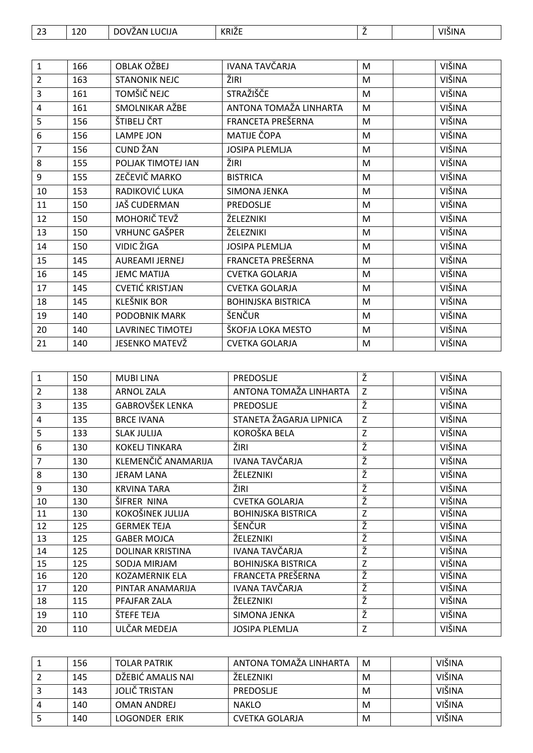| $\sim$ $\sim$<br>ر ے | 120 | <b>LUCIJA</b><br>$\sim \cdot$<br>7AN.<br>DC<br>'NZ | KRIŽE | -- |  | VIŠINA |
|----------------------|-----|----------------------------------------------------|-------|----|--|--------|
|----------------------|-----|----------------------------------------------------|-------|----|--|--------|

| $\mathbf{1}$   | 166 | <b>OBLAK OŽBEJ</b>      | IVANA TAVČARJA            | M | VIŠINA        |
|----------------|-----|-------------------------|---------------------------|---|---------------|
| $\overline{2}$ | 163 | <b>STANONIK NEJC</b>    | ŽIRI                      | M | VIŠINA        |
| 3              | 161 | TOMŠIČ NEJC             | STRAŽIŠČE                 | M | VIŠINA        |
| 4              | 161 | SMOLNIKAR AŽBE          | ANTONA TOMAŽA LINHARTA    | M | VIŠINA        |
| 5              | 156 | ŠTIBELJ ČRT             | FRANCETA PREŠERNA         | M | <b>VIŠINA</b> |
| 6              | 156 | LAMPE JON               | MATIJE ČOPA               | M | VIŠINA        |
| $\overline{7}$ | 156 | <b>CUND ŽAN</b>         | <b>JOSIPA PLEMLJA</b>     | M | VIŠINA        |
| 8              | 155 | POLJAK TIMOTEJ IAN      | ŽIRI                      | M | VIŠINA        |
| 9              | 155 | ZEČEVIČ MARKO           | <b>BISTRICA</b>           | M | VIŠINA        |
| 10             | 153 | RADIKOVIĆ LUKA          | SIMONA JENKA              | M | VIŠINA        |
| 11             | 150 | JAŠ CUDERMAN            | PREDOSLJE                 | M | VIŠINA        |
| 12             | 150 | MOHORIČ TEVŽ            | ŽELEZNIKI                 | M | VIŠINA        |
| 13             | 150 | <b>VRHUNC GAŠPER</b>    | ŽELEZNIKI                 | M | VIŠINA        |
| 14             | 150 | VIDIC ŽIGA              | <b>JOSIPA PLEMLJA</b>     | M | VIŠINA        |
| 15             | 145 | AUREAMI JERNEJ          | FRANCETA PREŠERNA         | M | VIŠINA        |
| 16             | 145 | <b>JEMC MATIJA</b>      | <b>CVETKA GOLARJA</b>     | M | VIŠINA        |
| 17             | 145 | <b>CVETIĆ KRISTJAN</b>  | <b>CVETKA GOLARJA</b>     | M | VIŠINA        |
| 18             | 145 | <b>KLEŠNIK BOR</b>      | <b>BOHINJSKA BISTRICA</b> | M | VIŠINA        |
| 19             | 140 | <b>PODOBNIK MARK</b>    | ŠENČUR                    | M | VIŠINA        |
| 20             | 140 | <b>LAVRINEC TIMOTEJ</b> | ŠKOFJA LOKA MESTO         | M | VIŠINA        |
| 21             | 140 | JESENKO MATEVŽ          | <b>CVETKA GOLARJA</b>     | M | VIŠINA        |

| $\mathbf{1}$ | 150 | <b>MUBILINA</b>         | PREDOSLJE                 | Ž | <b>VIŠINA</b> |
|--------------|-----|-------------------------|---------------------------|---|---------------|
| 2            | 138 | <b>ARNOL ZALA</b>       | ANTONA TOMAŽA LINHARTA    | Z | <b>VIŠINA</b> |
| 3            | 135 | <b>GABROVŠEK LENKA</b>  | PREDOSLJE                 | ž | VIŠINA        |
| 4            | 135 | <b>BRCE IVANA</b>       | STANETA ŽAGARJA LIPNICA   | Z | <b>VIŠINA</b> |
| 5            | 133 | <b>SLAK JULIJA</b>      | KOROŠKA BELA              | Z | <b>VIŠINA</b> |
| 6            | 130 | <b>KOKELJ TINKARA</b>   | ŽIRI                      | Ž | VIŠINA        |
| 7            | 130 | KLEMENČIČ ANAMARIJA     | <b>IVANA TAVČARJA</b>     | Ž | <b>VIŠINA</b> |
| 8            | 130 | <b>JERAM LANA</b>       | ŽELEZNIKI                 | Ž | VIŠINA        |
| 9            | 130 | <b>KRVINA TARA</b>      | ŽIRI                      | ž | VIŠINA        |
| 10           | 130 | ŠIFRER NINA             | <b>CVETKA GOLARJA</b>     | ž | <b>VIŠINA</b> |
| 11           | 130 | KOKOŠINEK JULIJA        | <b>BOHINJSKA BISTRICA</b> | Z | <b>VIŠINA</b> |
| 12           | 125 | <b>GERMEK TEJA</b>      | <b>ŠENČUR</b>             | Ž | VIŠINA        |
| 13           | 125 | <b>GABER MOJCA</b>      | ŽELEZNIKI                 | Ž | VIŠINA        |
| 14           | 125 | <b>DOLINAR KRISTINA</b> | IVANA TAVČARJA            | ž | VIŠINA        |
| 15           | 125 | SODJA MIRJAM            | <b>BOHINJSKA BISTRICA</b> | Z | <b>VIŠINA</b> |
| 16           | 120 | <b>KOZAMERNIK ELA</b>   | FRANCETA PREŠERNA         | Ž | VIŠINA        |
| 17           | 120 | PINTAR ANAMARIJA        | IVANA TAVČARJA            | Ž | VIŠINA        |
| 18           | 115 | PFAJFAR ZALA            | ŽELEZNIKI                 | Ž | <b>VIŠINA</b> |
| 19           | 110 | ŠTEFE TEJA              | SIMONA JENKA              | Ž | VIŠINA        |
| 20           | 110 | ULČAR MEDEJA            | <b>JOSIPA PLEMLJA</b>     | Z | VIŠINA        |

| 156 | <b>TOLAR PATRIK</b> | ANTONA TOMAŽA LINHARTA | M | VIŠINA        |
|-----|---------------------|------------------------|---|---------------|
| 145 | DŽEBIĆ AMALIS NAI   | ŽFLFZNIKI              | м | <b>VIŠINA</b> |
| 143 | JOLIČ TRISTAN       | PREDOSLIE              | м | VIŠINA        |
| 140 | <b>OMAN ANDREJ</b>  | <b>NAKLO</b>           | м | VIŠINA        |
| 140 | LOGONDER ERIK       | CVETKA GOLARJA         | м | VIŠINA        |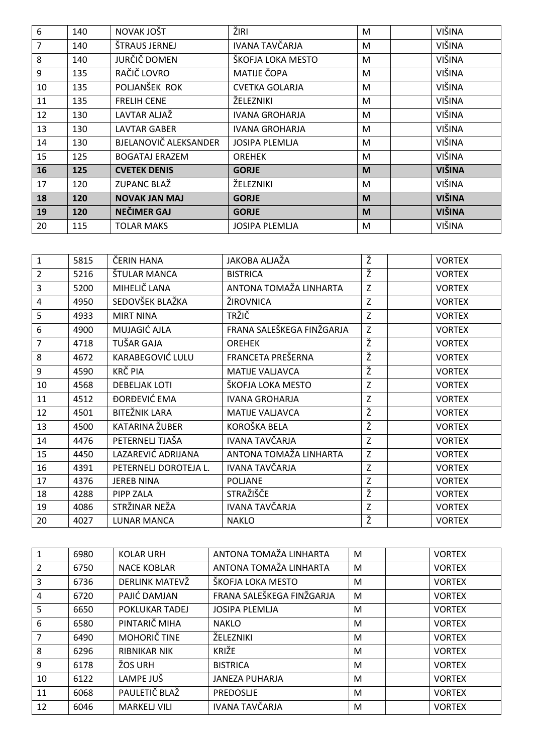| 6  | 140 | NOVAK JOŠT            | ŽIRI                  | M | VIŠINA        |
|----|-----|-----------------------|-----------------------|---|---------------|
| 7  | 140 | ŠTRAUS JERNEJ         | <b>IVANA TAVČARJA</b> | M | VIŠINA        |
| 8  | 140 | JURČIČ DOMEN          | ŠKOFJA LOKA MESTO     | M | VIŠINA        |
| 9  | 135 | RAČIČ LOVRO           | MATIJE ČOPA           | M | VIŠINA        |
| 10 | 135 | POLJANŠEK ROK         | <b>CVETKA GOLARJA</b> | M | VIŠINA        |
| 11 | 135 | <b>FRELIH CENE</b>    | ŽELEZNIKI             | M | VIŠINA        |
| 12 | 130 | LAVTAR ALJAŽ          | <b>IVANA GROHARJA</b> | M | VIŠINA        |
| 13 | 130 | <b>LAVTAR GABER</b>   | <b>IVANA GROHARJA</b> | M | VIŠINA        |
| 14 | 130 | BJELANOVIČ ALEKSANDER | <b>JOSIPA PLEMLJA</b> | M | VIŠINA        |
| 15 | 125 | <b>BOGATAJ ERAZEM</b> | <b>OREHEK</b>         | M | VIŠINA        |
| 16 | 125 | <b>CVETEK DENIS</b>   | <b>GORJE</b>          | M | <b>VIŠINA</b> |
| 17 | 120 | ZUPANC BLAŽ           | ŽELEZNIKI             | M | VIŠINA        |
| 18 | 120 | <b>NOVAK JAN MAJ</b>  | <b>GORJE</b>          | M | <b>VIŠINA</b> |
| 19 | 120 | <b>NEČIMER GAJ</b>    | <b>GORJE</b>          | M | <b>VIŠINA</b> |
| 20 | 115 | <b>TOLAR MAKS</b>     | <b>JOSIPA PLEMLJA</b> | M | VIŠINA        |

| $\mathbf{1}$   | 5815 | ČERIN HANA            | JAKOBA ALJAŽA             | Ž           | <b>VORTEX</b> |
|----------------|------|-----------------------|---------------------------|-------------|---------------|
| $\overline{2}$ | 5216 | ŠTULAR MANCA          | <b>BISTRICA</b>           | Ž           | <b>VORTEX</b> |
| 3              | 5200 | MIHELIČ LANA          | ANTONA TOMAŽA LINHARTA    | Z           | <b>VORTEX</b> |
| 4              | 4950 | SEDOVŠEK BLAŽKA       | ŽIROVNICA                 | Z           | <b>VORTEX</b> |
| 5              | 4933 | <b>MIRT NINA</b>      | TRŽIČ                     | Z           | <b>VORTEX</b> |
| 6              | 4900 | MUJAGIĆ AJLA          | FRANA SALEŠKEGA FINŽGARJA | Z           | <b>VORTEX</b> |
| $\overline{7}$ | 4718 | TUŠAR GAJA            | <b>OREHEK</b>             | Ž           | <b>VORTEX</b> |
| 8              | 4672 | KARABEGOVIĆ LULU      | FRANCETA PREŠERNA         | Ž           | <b>VORTEX</b> |
| 9              | 4590 | KRČ PIA               | <b>MATIJE VALJAVCA</b>    | Ž           | <b>VORTEX</b> |
| 10             | 4568 | <b>DEBELJAK LOTI</b>  | ŠKOFJA LOKA MESTO         | $\mathsf Z$ | <b>VORTEX</b> |
| 11             | 4512 | ĐORĐEVIĆ EMA          | <b>IVANA GROHARJA</b>     | $\mathsf Z$ | <b>VORTEX</b> |
| 12             | 4501 | <b>BITEŽNIK LARA</b>  | <b>MATIJE VALJAVCA</b>    | Ž           | <b>VORTEX</b> |
| 13             | 4500 | KATARINA ŽUBER        | KOROŠKA BELA              | Ž           | <b>VORTEX</b> |
| 14             | 4476 | PETERNELJ TJAŠA       | IVANA TAVČARJA            | $\mathsf Z$ | <b>VORTEX</b> |
| 15             | 4450 | LAZAREVIĆ ADRIJANA    | ANTONA TOMAŽA LINHARTA    | Z           | <b>VORTEX</b> |
| 16             | 4391 | PETERNELJ DOROTEJA L. | <b>IVANA TAVČARJA</b>     | Z           | <b>VORTEX</b> |
| 17             | 4376 | <b>JEREB NINA</b>     | <b>POLJANE</b>            | $\mathsf Z$ | <b>VORTEX</b> |
| 18             | 4288 | PIPP ZALA             | <b>STRAŽIŠČE</b>          | Ž           | <b>VORTEX</b> |
| 19             | 4086 | STRŽINAR NEŽA         | <b>IVANA TAVČARJA</b>     | $\mathsf Z$ | <b>VORTEX</b> |
| 20             | 4027 | <b>LUNAR MANCA</b>    | <b>NAKLO</b>              | ž           | <b>VORTEX</b> |

|                | 6980 | <b>KOLAR URH</b>    | ANTONA TOMAŽA LINHARTA    | M | <b>VORTEX</b> |
|----------------|------|---------------------|---------------------------|---|---------------|
| $\overline{2}$ | 6750 | <b>NACE KOBLAR</b>  | ANTONA TOMAŽA LINHARTA    | M | <b>VORTEX</b> |
| 3              | 6736 | DERLINK MATEVŽ      | ŠKOFJA LOKA MESTO         | M | <b>VORTEX</b> |
| 4              | 6720 | PAJIĆ DAMJAN        | FRANA SALEŠKEGA FINŽGARJA | M | <b>VORTEX</b> |
| 5              | 6650 | POKLUKAR TADEJ      | <b>JOSIPA PLEMLJA</b>     | M | <b>VORTEX</b> |
| 6              | 6580 | PINTARIČ MIHA       | <b>NAKLO</b>              | M | <b>VORTEX</b> |
| 7              | 6490 | MOHORIČ TINE        | ŽELEZNIKI                 | M | <b>VORTEX</b> |
| 8              | 6296 | <b>RIBNIKAR NIK</b> | KRIŽE                     | M | <b>VORTEX</b> |
| 9              | 6178 | ŽOS URH             | <b>BISTRICA</b>           | M | <b>VORTEX</b> |
| 10             | 6122 | LAMPE JUŠ           | <b>JANEZA PUHARJA</b>     | M | <b>VORTEX</b> |
| 11             | 6068 | PAULETIČ BLAŽ       | PREDOSLJE                 | M | <b>VORTEX</b> |
| 12             | 6046 | <b>MARKELJ VILI</b> | IVANA TAVČARJA            | M | <b>VORTEX</b> |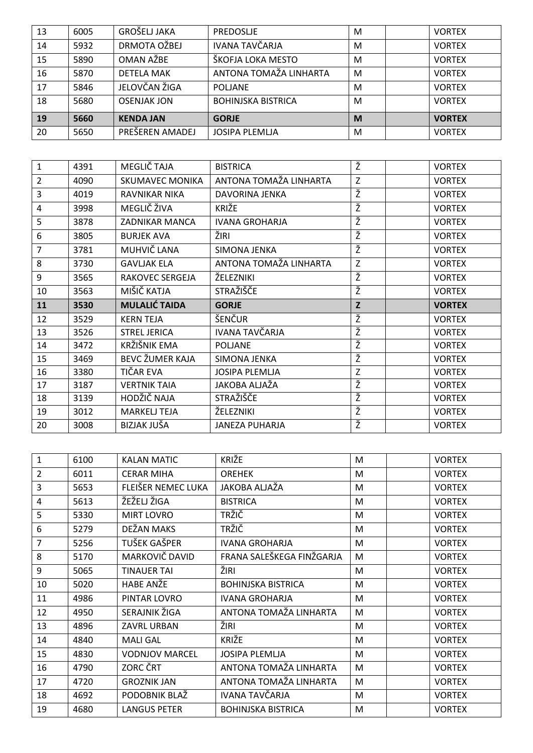| 13 | 6005 | GROŠELJ JAKA       | PREDOSLJE                 | M | <b>VORTEX</b> |
|----|------|--------------------|---------------------------|---|---------------|
| 14 | 5932 | DRMOTA OŽBEJ       | <b>IVANA TAVČARJA</b>     | M | <b>VORTEX</b> |
| 15 | 5890 | OMAN AŽBE          | ŠKOFJA LOKA MESTO         | M | <b>VORTEX</b> |
| 16 | 5870 | <b>DETELA MAK</b>  | ANTONA TOMAŽA LINHARTA    | M | <b>VORTEX</b> |
| 17 | 5846 | JELOVČAN ŽIGA      | <b>POLJANE</b>            | M | <b>VORTEX</b> |
| 18 | 5680 | <b>OSENJAK JON</b> | <b>BOHINJSKA BISTRICA</b> | M | <b>VORTEX</b> |
| 19 | 5660 | <b>KENDA JAN</b>   | <b>GORJE</b>              | M | <b>VORTEX</b> |
| 20 | 5650 | PREŠEREN AMADEJ    | <b>JOSIPA PLEMLJA</b>     | M | <b>VORTEX</b> |

| $\mathbf{1}$   | 4391 | MEGLIČ TAJA            | <b>BISTRICA</b>        | Ž      | <b>VORTEX</b> |
|----------------|------|------------------------|------------------------|--------|---------------|
| $\overline{2}$ | 4090 | <b>SKUMAVEC MONIKA</b> | ANTONA TOMAŽA LINHARTA | Z      | <b>VORTEX</b> |
| 3              | 4019 | RAVNIKAR NIKA          | DAVORINA JENKA         | Ž      | <b>VORTEX</b> |
| 4              | 3998 | MEGLIČ ŽIVA            | <b>KRIŽE</b>           | Ž      | <b>VORTEX</b> |
| 5              | 3878 | <b>ZADNIKAR MANCA</b>  | <b>IVANA GROHARJA</b>  | Ž      | <b>VORTEX</b> |
| 6              | 3805 | <b>BURJEK AVA</b>      | ŽIRI                   | Ž      | <b>VORTEX</b> |
| 7              | 3781 | MUHVIČ LANA            | SIMONA JENKA           | Ž      | <b>VORTEX</b> |
| 8              | 3730 | <b>GAVLJAK ELA</b>     | ANTONA TOMAŽA LINHARTA | Z      | <b>VORTEX</b> |
| 9              | 3565 | <b>RAKOVEC SERGEJA</b> | ŽELEZNIKI              | ž      | <b>VORTEX</b> |
| 10             | 3563 | MIŠIČ KATJA            | STRAŽIŠČE              | Ž      | <b>VORTEX</b> |
|                |      |                        |                        |        |               |
| 11             | 3530 | <b>MULALIĆ TAIDA</b>   | <b>GORJE</b>           | Z      | <b>VORTEX</b> |
| 12             | 3529 | <b>KERN TEJA</b>       | ŠENČUR                 | Ž      | <b>VORTEX</b> |
| 13             | 3526 | <b>STREL JERICA</b>    | IVANA TAVČARJA         | Ž      | <b>VORTEX</b> |
| 14             | 3472 | KRŽIŠNIK EMA           | <b>POLJANE</b>         | Ž      | <b>VORTEX</b> |
| 15             | 3469 | <b>BEVC ŽUMER KAJA</b> | SIMONA JENKA           | ž      | <b>VORTEX</b> |
| 16             | 3380 | TIČAR EVA              | <b>JOSIPA PLEMLJA</b>  | Z      | <b>VORTEX</b> |
| 17             | 3187 | <b>VERTNIK TAIA</b>    | JAKOBA ALJAŽA          | ž      | <b>VORTEX</b> |
| 18             | 3139 | HODŽIČ NAJA            | STRAŽIŠČE              | Ž      | <b>VORTEX</b> |
| 19             | 3012 | <b>MARKELJ TEJA</b>    | ŽELEZNIKI              | Ž<br>Ž | <b>VORTEX</b> |

| $\mathbf{1}$   | 6100 | <b>KALAN MATIC</b>    | KRIŽE                     | M | <b>VORTEX</b> |
|----------------|------|-----------------------|---------------------------|---|---------------|
| $\overline{2}$ | 6011 | <b>CERAR MIHA</b>     | <b>OREHEK</b>             | M | <b>VORTEX</b> |
| 3              | 5653 | FLEIŠER NEMEC LUKA    | JAKOBA ALJAŽA             | M | <b>VORTEX</b> |
| 4              | 5613 | ŽEŽELJ ŽIGA           | <b>BISTRICA</b>           | M | <b>VORTEX</b> |
| 5              | 5330 | <b>MIRT LOVRO</b>     | <b>TRŽIČ</b>              | M | <b>VORTEX</b> |
| 6              | 5279 | DEŽAN MAKS            | <b>TRŽIČ</b>              | M | <b>VORTEX</b> |
| 7              | 5256 | TUŠEK GAŠPER          | <b>IVANA GROHARJA</b>     | M | <b>VORTEX</b> |
| 8              | 5170 | MARKOVIČ DAVID        | FRANA SALEŠKEGA FINŽGARJA | M | <b>VORTEX</b> |
| 9              | 5065 | <b>TINAUER TAI</b>    | ŽIRI                      | M | <b>VORTEX</b> |
| 10             | 5020 | <b>HABE ANŽE</b>      | <b>BOHINJSKA BISTRICA</b> | M | <b>VORTEX</b> |
| 11             | 4986 | PINTAR LOVRO          | <b>IVANA GROHARJA</b>     | M | <b>VORTEX</b> |
| 12             | 4950 | SERAJNIK ŽIGA         | ANTONA TOMAŽA LINHARTA    | M | <b>VORTEX</b> |
| 13             | 4896 | <b>ZAVRL URBAN</b>    | ŽIRI                      | M | <b>VORTEX</b> |
| 14             | 4840 | <b>MALI GAL</b>       | <b>KRIŽE</b>              | M | <b>VORTEX</b> |
| 15             | 4830 | <b>VODNJOV MARCEL</b> | <b>JOSIPA PLEMLJA</b>     | M | <b>VORTEX</b> |
| 16             | 4790 | ZORC ČRT              | ANTONA TOMAŽA LINHARTA    | M | <b>VORTEX</b> |
| 17             | 4720 | <b>GROZNIK JAN</b>    | ANTONA TOMAŽA LINHARTA    | M | <b>VORTEX</b> |
| 18             | 4692 | PODOBNIK BLAŽ         | IVANA TAVČARJA            | M | <b>VORTEX</b> |
| 19             | 4680 | <b>LANGUS PETER</b>   | <b>BOHINJSKA BISTRICA</b> | M | <b>VORTEX</b> |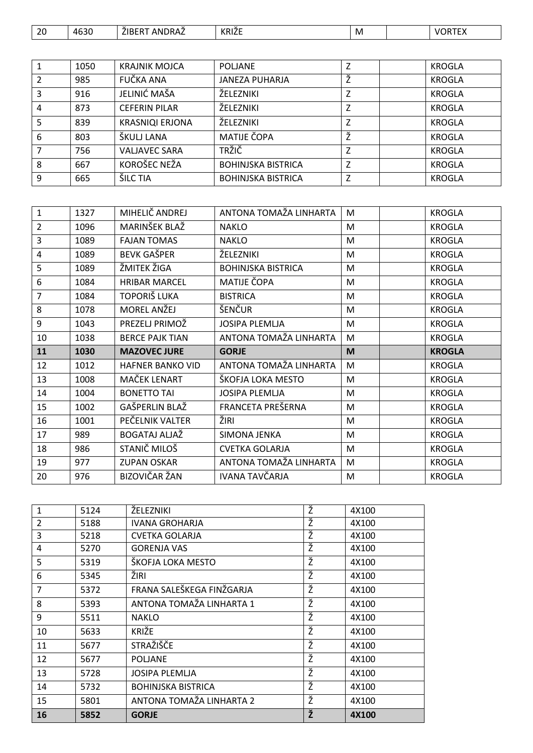| 20 | 4630 | $\ddot{\phantom{0}}$<br>.<br>7ID L<br>. .<br>)RAZ<br>ΔN | KRIŽE | M |  |  |
|----|------|---------------------------------------------------------|-------|---|--|--|
|----|------|---------------------------------------------------------|-------|---|--|--|

|   | 1050 | <b>KRAJNIK MOJCA</b>   | <b>POLJANE</b>            | Z | <b>KROGLA</b> |
|---|------|------------------------|---------------------------|---|---------------|
| 2 | 985  | FUČKA ANA              | <b>JANEZA PUHARJA</b>     | Ž | <b>KROGLA</b> |
| 3 | 916  | JELINIĆ MAŠA           | ŽELEZNIKI                 | Z | <b>KROGLA</b> |
| 4 | 873  | <b>CEFERIN PILAR</b>   | ŽELEZNIKI                 | Z | <b>KROGLA</b> |
| 5 | 839  | <b>KRASNIQI ERJONA</b> | ŽELEZNIKI                 | Z | <b>KROGLA</b> |
| 6 | 803  | ŠKULJ LANA             | <b>MATIJE ČOPA</b>        | Ž | KROGLA        |
| 7 | 756  | <b>VALJAVEC SARA</b>   | <b>TRŽIČ</b>              | Z | <b>KROGLA</b> |
| 8 | 667  | KOROŠEC NEŽA           | <b>BOHINJSKA BISTRICA</b> | Z | <b>KROGLA</b> |
| 9 | 665  | <b>ŠILC TIA</b>        | <b>BOHINJSKA BISTRICA</b> | Z | <b>KROGLA</b> |

| 1              | 1327 | MIHELIČ ANDREJ          | ANTONA TOMAŽA LINHARTA    | M | <b>KROGLA</b> |
|----------------|------|-------------------------|---------------------------|---|---------------|
| $\overline{2}$ | 1096 | MARINŠEK BLAŽ           | <b>NAKLO</b>              | M | <b>KROGLA</b> |
| 3              | 1089 | <b>FAJAN TOMAS</b>      | <b>NAKLO</b>              | M | <b>KROGLA</b> |
| 4              | 1089 | <b>BEVK GAŠPER</b>      | ŽELEZNIKI                 | M | <b>KROGLA</b> |
| 5              | 1089 | ŽMITEK ŽIGA             | <b>BOHINJSKA BISTRICA</b> | M | <b>KROGLA</b> |
| 6              | 1084 | <b>HRIBAR MARCEL</b>    | MATIJE ČOPA               | M | <b>KROGLA</b> |
| 7              | 1084 | TOPORIŠ LUKA            | <b>BISTRICA</b>           | M | <b>KROGLA</b> |
| 8              | 1078 | <b>MOREL ANŽEJ</b>      | ŠENČUR                    | M | <b>KROGLA</b> |
| 9              | 1043 | PREZELJ PRIMOŽ          | <b>JOSIPA PLEMLJA</b>     | M | <b>KROGLA</b> |
| 10             | 1038 | <b>BERCE PAJK TIAN</b>  | ANTONA TOMAŽA LINHARTA    | M | <b>KROGLA</b> |
|                |      |                         |                           |   |               |
| 11             | 1030 | <b>MAZOVEC JURE</b>     | <b>GORJE</b>              | M | <b>KROGLA</b> |
| 12             | 1012 | <b>HAFNER BANKO VID</b> | ANTONA TOMAŽA LINHARTA    | M | <b>KROGLA</b> |
| 13             | 1008 | MAČEK LENART            | ŠKOFJA LOKA MESTO         | M | <b>KROGLA</b> |
| 14             | 1004 | <b>BONETTO TAI</b>      | <b>JOSIPA PLEMLJA</b>     | M | <b>KROGLA</b> |
| 15             | 1002 | GAŠPERLIN BLAŽ          | FRANCETA PREŠERNA         | M | <b>KROGLA</b> |
| 16             | 1001 | PEČELNIK VALTER         | ŽIRI                      | M | <b>KROGLA</b> |
| 17             | 989  | BOGATAJ ALJAŽ           | SIMONA JENKA              | M | <b>KROGLA</b> |
| 18             | 986  | STANIČ MILOŠ            | <b>CVETKA GOLARJA</b>     | M | <b>KROGLA</b> |
| 19             | 977  | <b>ZUPAN OSKAR</b>      | ANTONA TOMAŽA LINHARTA    | M | <b>KROGLA</b> |

| $\mathbf{1}$   | 5124 | ŽELEZNIKI                 | Ž | 4X100 |
|----------------|------|---------------------------|---|-------|
| $\overline{2}$ | 5188 | <b>IVANA GROHARJA</b>     | Ž | 4X100 |
| 3              | 5218 | CVETKA GOLARJA            | Ž | 4X100 |
| 4              | 5270 | <b>GORENJA VAS</b>        | Ž | 4X100 |
| 5              | 5319 | ŠKOFJA LOKA MESTO         | Ž | 4X100 |
| 6              | 5345 | ŽIRI                      | Ž | 4X100 |
| $\overline{7}$ | 5372 | FRANA SALEŠKEGA FINŽGARJA | Ž | 4X100 |
| 8              | 5393 | ANTONA TOMAŽA LINHARTA 1  | Ž | 4X100 |
| 9              | 5511 | <b>NAKLO</b>              | Ž | 4X100 |
| 10             | 5633 | <b>KRIŽE</b>              | Ž | 4X100 |
| 11             | 5677 | STRAŽIŠČE                 | Ž | 4X100 |
| 12             | 5677 | <b>POLJANE</b>            | Ž | 4X100 |
| 13             | 5728 | <b>JOSIPA PLEMLJA</b>     | Ž | 4X100 |
| 14             | 5732 | <b>BOHINJSKA BISTRICA</b> | ž | 4X100 |
| 15             | 5801 | ANTONA TOMAŽA LINHARTA 2  | Ž | 4X100 |
| 16             | 5852 | <b>GORJE</b>              | Ž | 4X100 |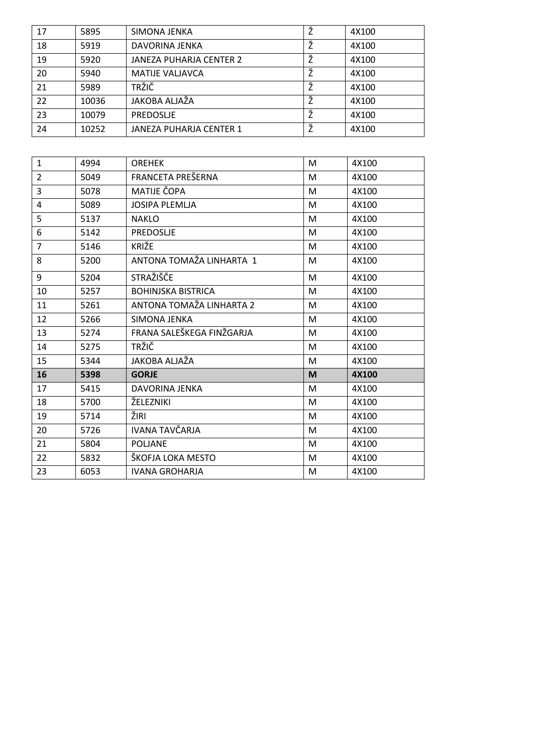| 17 | 5895  | SIMONA JENKA            |   | 4X100 |
|----|-------|-------------------------|---|-------|
| 18 | 5919  | DAVORINA JENKA          |   | 4X100 |
| 19 | 5920  | JANEZA PUHARJA CENTER 2 | Ž | 4X100 |
| 20 | 5940  | <b>MATIJE VALJAVCA</b>  |   | 4X100 |
| 21 | 5989  | <b>TRŽIČ</b>            | Ž | 4X100 |
| 22 | 10036 | JAKOBA ALJAŽA           | Ž | 4X100 |
| 23 | 10079 | PREDOSLJE               |   | 4X100 |
| 24 | 10252 | JANEZA PUHARJA CENTER 1 |   | 4X100 |

| $\mathbf{1}$   | 4994 | <b>OREHEK</b>             | M | 4X100 |
|----------------|------|---------------------------|---|-------|
| $\overline{2}$ | 5049 | FRANCETA PREŠERNA         | M | 4X100 |
| 3              | 5078 | MATIJE ČOPA               | M | 4X100 |
| 4              | 5089 | <b>JOSIPA PLEMLJA</b>     | M | 4X100 |
| 5              | 5137 | <b>NAKLO</b>              | M | 4X100 |
| 6              | 5142 | PREDOSLJE                 | M | 4X100 |
| $\overline{7}$ | 5146 | KRIŽE                     | M | 4X100 |
| 8              | 5200 | ANTONA TOMAŽA LINHARTA 1  | M | 4X100 |
| 9              | 5204 | STRAŽIŠČE                 | M | 4X100 |
| 10             | 5257 | <b>BOHINJSKA BISTRICA</b> | M | 4X100 |
| 11             | 5261 | ANTONA TOMAŽA LINHARTA 2  | M | 4X100 |
| 12             | 5266 | SIMONA JENKA              | M | 4X100 |
| 13             | 5274 | FRANA SALEŠKEGA FINŽGARJA | M | 4X100 |
| 14             | 5275 | <b>TRŽIČ</b>              | M | 4X100 |
| 15             | 5344 | JAKOBA ALJAŽA             | M | 4X100 |
| 16             | 5398 | <b>GORJE</b>              | M | 4X100 |
| 17             | 5415 | <b>DAVORINA JENKA</b>     | M | 4X100 |
| 18             | 5700 | ŽELEZNIKI                 | M | 4X100 |
| 19             | 5714 | ŽIRI                      | M | 4X100 |
| 20             | 5726 | <b>IVANA TAVČARJA</b>     | M | 4X100 |
| 21             | 5804 | <b>POLJANE</b>            | M | 4X100 |
| 22             | 5832 | ŠKOFJA LOKA MESTO         | M | 4X100 |
| 23             | 6053 | <b>IVANA GROHARJA</b>     | M | 4X100 |